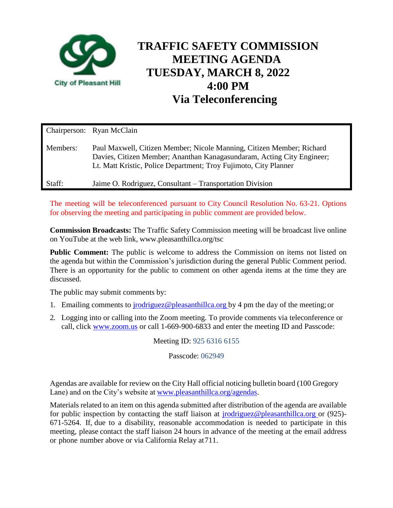

# **TRAFFIC SAFETY COMMISSION MEETING AGENDA TUESDAY, MARCH 8, 2022 4:00 PM Via Teleconferencing**

|          | Chairperson: Ryan McClain                                                                                                                                                                                           |
|----------|---------------------------------------------------------------------------------------------------------------------------------------------------------------------------------------------------------------------|
| Members: | Paul Maxwell, Citizen Member; Nicole Manning, Citizen Member; Richard<br>Davies, Citizen Member; Ananthan Kanagasundaram, Acting City Engineer;<br>Lt. Matt Kristic, Police Department; Troy Fujimoto, City Planner |
| Staff:   | Jaime O. Rodriguez, Consultant – Transportation Division                                                                                                                                                            |

The meeting will be teleconferenced pursuant to City Council Resolution No. 63-21. Options for observing the meeting and participating in public comment are provided below.

**Commission Broadcasts:** The Traffic Safety Commission meeting will be broadcast live online on YouTube at the web link, www.pleasanthillca.org/tsc

**Public Comment:** The public is welcome to address the Commission on items not listed on the agenda but within the Commission's jurisdiction during the general Public Comment period. There is an opportunity for the public to comment on other agenda items at the time they are discussed.

The public may submit comments by:

- 1. Emailing comments to [jrodriguez@pleasanthillca.org b](mailto:jrodriguez@pleasanthillca.org)y 4 pm the day of the meeting;or
- 2. Logging into or calling into the Zoom meeting. To provide comments via teleconference or call, click www.zoom.us or call 1-669-900-6833 and enter the meeting ID and Passcode:

Meeting ID: 925 6316 6155

Passcode: 062949

Agendas are available for review on the City Hall official noticing bulletin board (100 Gregory Lane) and on the City's website at [www.pleasanthillca.org/agendas.](http://www.pleasanthillca.org/agendas)

Materials related to an item on this agenda submitted after distribution of the agenda are available for public inspection by contacting the staff liaison at [jrodriguez@pleasanthillca.org o](mailto:jrodriguez@pleasanthillca.org)r (925)- 671-5264. If, due to a disability, reasonable accommodation is needed to participate in this meeting, please contact the staff liaison 24 hours in advance of the meeting at the email address or phone number above or via California Relay at711.